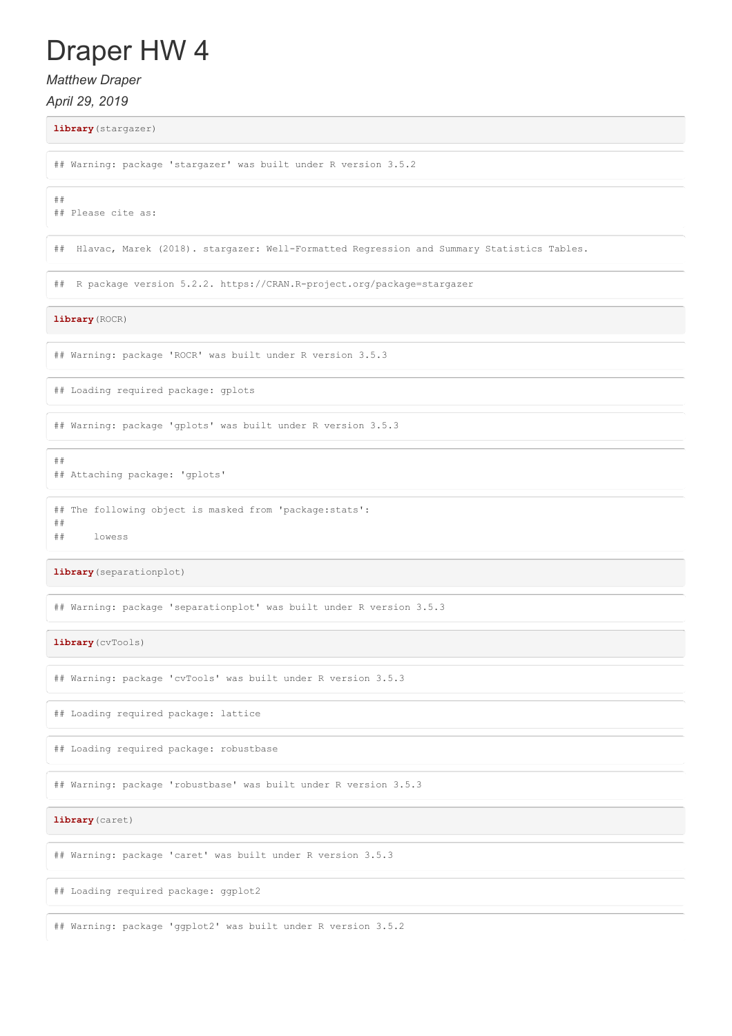# Draper HW 4

*Matthew Draper*

*April 29, 2019*

**library**(stargazer)

## Warning: package 'stargazer' was built under R version 3.5.2

## ## Please cite as:

## Hlavac, Marek (2018). stargazer: Well-Formatted Regression and Summary Statistics Tables.

## R package version 5.2.2. https://CRAN.R-project.org/package=stargazer

**library**(ROCR)

## Warning: package 'ROCR' was built under R version 3.5.3

## Loading required package: gplots

## Warning: package 'gplots' was built under R version 3.5.3

## Attaching package: 'gplots'

## The following object is masked from 'package:stats':

##

##

## lowess

**library**(separationplot)

## Warning: package 'separationplot' was built under R version 3.5.3

**library**(cvTools)

## Warning: package 'cvTools' was built under R version 3.5.3

## Loading required package: lattice

## Loading required package: robustbase

## Warning: package 'robustbase' was built under R version 3.5.3

**library**(caret)

## Warning: package 'caret' was built under R version 3.5.3

## Loading required package: ggplot2

## Warning: package 'ggplot2' was built under R version 3.5.2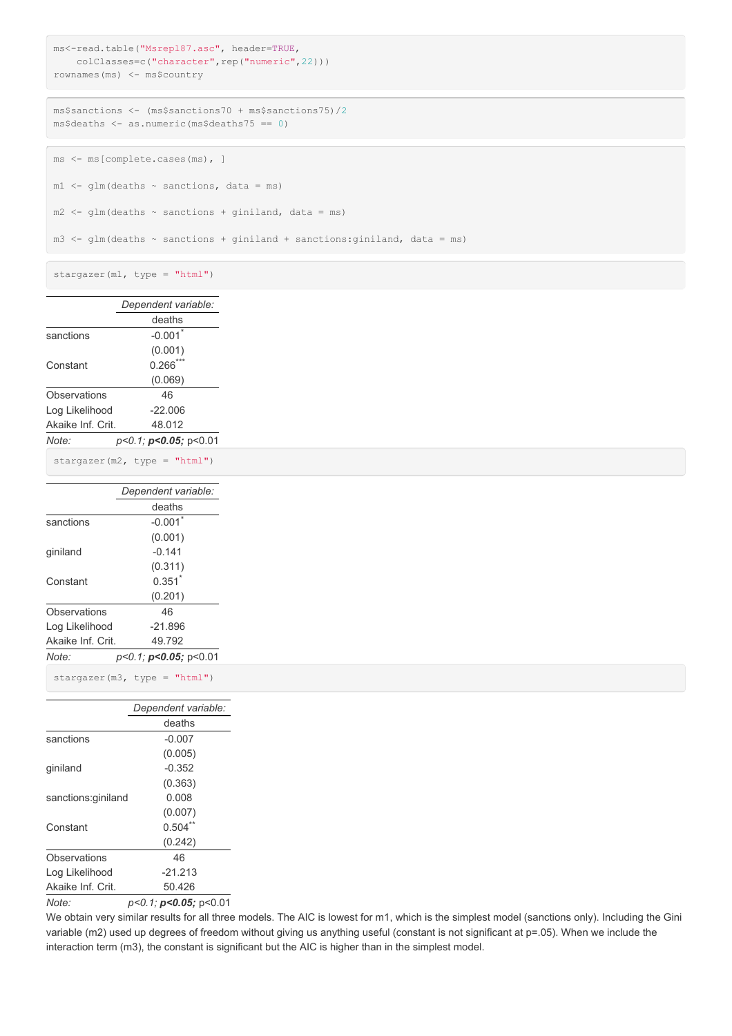```
ms<-read.table("Msrepl87.asc", header=TRUE,
   colClasses=c("character",rep("numeric",22)))
rownames(ms) <- ms$country
```

```
ms$sanctions <- (ms$sanctions70 + ms$sanctions75)/2
ms$deaths <- as.numeric(ms$deaths75 == 0)
```

```
ms <- ms[complete.cases(ms), ]
ml \leftarrow glm(deaths \sim sanctions, data = ms)m2 \leq -g \ln(\text{deaths} \sim \text{sanctions} + \text{giniland}, \text{ data} = ms)
```
m3  $\leftarrow$  glm(deaths  $\sim$  sanctions + giniland + sanctions: giniland, data = ms)

stargazer(m1, type = "html")

|                   | Dependent variable:             |
|-------------------|---------------------------------|
|                   | deaths                          |
| sanctions         | $-0.001$ <sup>*</sup>           |
|                   | (0.001)                         |
| Constant          | $0.266***$                      |
|                   | (0.069)                         |
| Observations      | 46                              |
| Log Likelihood    | $-22.006$                       |
| Akaike Inf. Crit. | 48.012                          |
| Note:             | $p<0.1$ ; $p<0.05$ ; $p<0.01$   |
|                   | stargazer $(m2, type = "html")$ |
|                   | Dependent variable:             |
|                   | deaths                          |
| sanctions         | $-0.001$ <sup>*</sup>           |
|                   | (0.001)                         |
| giniland          | $-0.141$                        |
|                   | (0.311)                         |
| Constant          | $0.351$ <sup>*</sup>            |
|                   | (0.201)                         |
| Observations      | 46                              |
| Log Likelihood    | $-21.896$                       |
| Akaike Inf. Crit. | 49.792                          |
| Note:             | $p<0.1$ ; $p<0.05$ ; $p<0.01$   |
|                   |                                 |

stargazer(m3, type = "html")

|                    | Dependent variable:                   |
|--------------------|---------------------------------------|
|                    | deaths                                |
| sanctions          | $-0.007$                              |
|                    | (0.005)                               |
| giniland           | $-0.352$                              |
|                    | (0.363)                               |
| sanctions:giniland | 0.008                                 |
|                    | (0.007)                               |
| Constant           | 0.504                                 |
|                    | (0.242)                               |
| Observations       | 46                                    |
| Log Likelihood     | $-21.213$                             |
| Akaike Inf. Crit.  | 50.426                                |
| $N \cap f \cap f$  | $n < 1$ 1 $n < 0$ $0.5$ $n < 0$ $0.1$ |

*Note: p<0.1; p<0.05;* p<0.01

We obtain very similar results for all three models. The AIC is lowest for m1, which is the simplest model (sanctions only). Including the Gini variable (m2) used up degrees of freedom without giving us anything useful (constant is not significant at p=.05). When we include the interaction term (m3), the constant is significant but the AIC is higher than in the simplest model.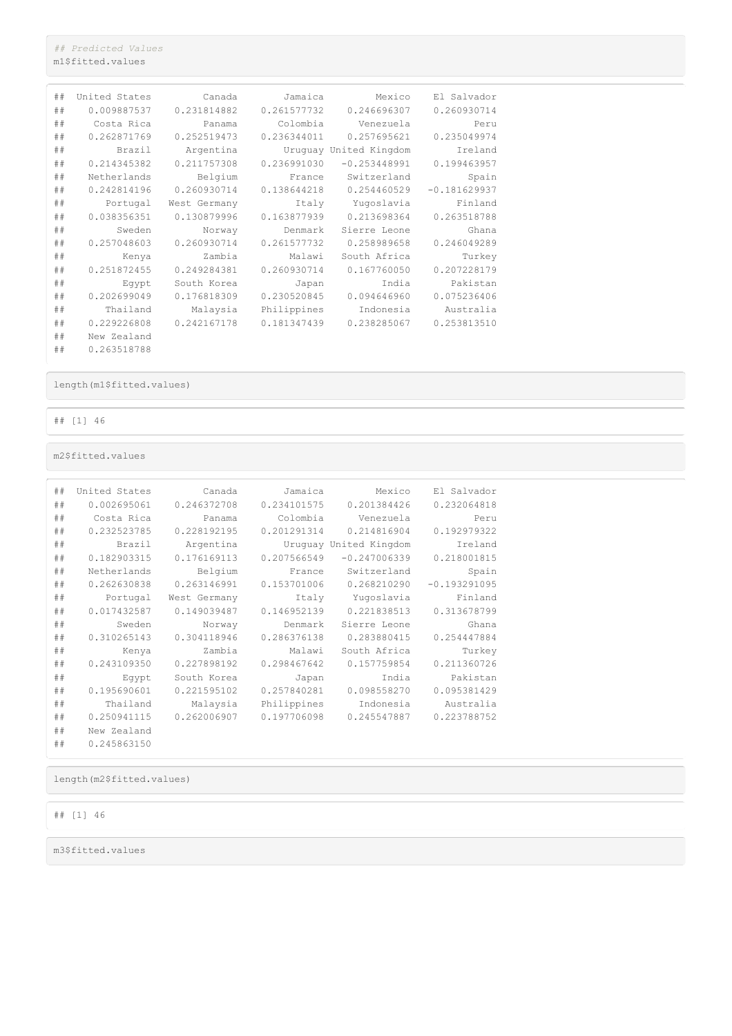*## Predicted Values* m1\$fitted.values

| ## | United States | Canada       | Jamaica     | Mexico                 | El Salvador    |
|----|---------------|--------------|-------------|------------------------|----------------|
| ## | 0.009887537   | 0.231814882  | 0.261577732 | 0.246696307            | 0.260930714    |
| ## | Costa Rica    | Panama       | Colombia    | Venezuela              | Peru           |
| ## | 0.262871769   | 0.252519473  | 0.236344011 | 0.257695621            | 0.235049974    |
| ## | Brazil        | Argentina    |             | Uruquay United Kingdom | Ireland        |
| ## | 0.214345382   | 0.211757308  | 0.236991030 | $-0.253448991$         | 0.199463957    |
| ## | Netherlands   | Belgium      | France      | Switzerland            | Spain          |
| ## | 0.242814196   | 0.260930714  | 0.138644218 | 0.254460529            | $-0.181629937$ |
| ## | Portugal      | West Germany | Italy       | Yuqoslavia             | Finland        |
| ## | 0.038356351   | 0.130879996  | 0.163877939 | 0.213698364            | 0.263518788    |
| ## | Sweden        | Norway       | Denmark     | Sierre Leone           | Ghana          |
| ## | 0.257048603   | 0.260930714  | 0.261577732 | 0.258989658            | 0.246049289    |
| ## | Kenya         | Zambia       | Malawi      | South Africa           | Turkey         |
| ## | 0.251872455   | 0.249284381  | 0.260930714 | 0.167760050            | 0.207228179    |
| ## | Eqypt         | South Korea  | Japan       | India                  | Pakistan       |
| ## | 0.202699049   | 0.176818309  | 0.230520845 | 0.094646960            | 0.075236406    |
| ## | Thailand      | Malaysia     | Philippines | Indonesia              | Australia      |
| ## | 0.229226808   | 0.242167178  | 0.181347439 | 0.238285067            | 0.253813510    |
| ## | New Zealand   |              |             |                        |                |
| ## | 0.263518788   |              |             |                        |                |

length(m1\$fitted.values)

## [1] 46

m2\$fitted.values

| ## | United States | Canada       | Jamaica     | Mexico                 | El Salvador    |
|----|---------------|--------------|-------------|------------------------|----------------|
| ## | 0.002695061   | 0.246372708  | 0.234101575 | 0.201384426            | 0.232064818    |
| ## | Costa Rica    | Panama       | Colombia    | Venezuela              | Peru           |
| ## | 0.232523785   | 0.228192195  | 0.201291314 | 0.214816904            | 0.192979322    |
| ## | Brazil        | Argentina    |             | Uruquay United Kingdom | Ireland        |
| ## | 0.182903315   | 0.176169113  | 0.207566549 | $-0.247006339$         | 0.218001815    |
| ## | Netherlands   | Belgium      | France      | Switzerland            | Spain          |
| ## | 0.262630838   | 0.263146991  | 0.153701006 | 0.268210290            | $-0.193291095$ |
| ## | Portugal      | West Germany | Italy       | Yuqoslavia             | Finland        |
| ## | 0.017432587   | 0.149039487  | 0.146952139 | 0.221838513            | 0.313678799    |
| ## | Sweden        | Norway       | Denmark     | Sierre Leone           | Ghana          |
| ## | 0.310265143   | 0.304118946  | 0.286376138 | 0.283880415            | 0.254447884    |
| ## | Kenya         | Zambia       | Malawi      | South Africa           | Turkey         |
| ## | 0.243109350   | 0.227898192  | 0.298467642 | 0.157759854            | 0.211360726    |
| ## | Eqypt         | South Korea  | Japan       | India                  | Pakistan       |
| ## | 0.195690601   | 0.221595102  | 0.257840281 | 0.098558270            | 0.095381429    |
| ## | Thailand      | Malaysia     | Philippines | Indonesia              | Australia      |
| ## | 0.250941115   | 0.262006907  | 0.197706098 | 0.245547887            | 0.223788752    |
| ## | New Zealand   |              |             |                        |                |
| ## | 0.245863150   |              |             |                        |                |

length(m2\$fitted.values)

## [1] 46

m3\$fitted.values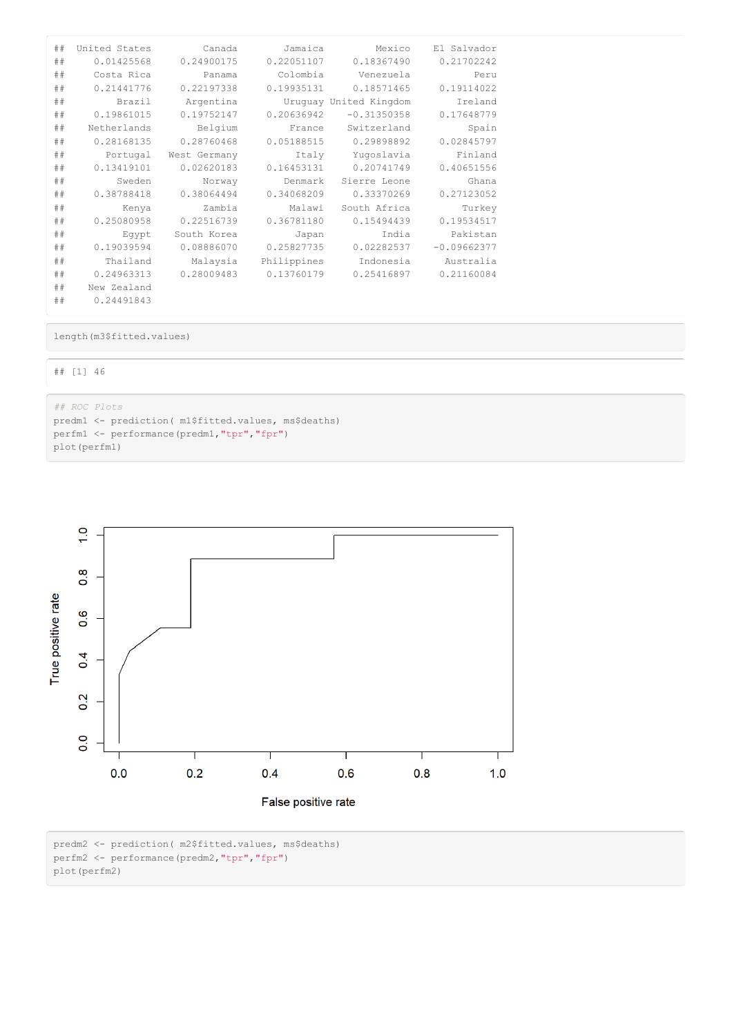| ## | United States | Canada       | Jamaica     | Mexico                 | El Salvador   |
|----|---------------|--------------|-------------|------------------------|---------------|
| ## | 0.01425568    | 0.24900175   | 0.22051107  | 0.18367490             | 0.21702242    |
| ## | Costa Rica    | Panama       | Colombia    | Venezuela              | Peru          |
| ## | 0.21441776    | 0.22197338   | 0.19935131  | 0.18571465             | 0.19114022    |
| ## | Brazil        | Argentina    |             | Uruguay United Kingdom | Ireland       |
| ## | 0.19861015    | 0.19752147   | 0.20636942  | $-0.31350358$          | 0.17648779    |
| ## | Netherlands   | Belgium      | France      | Switzerland            | Spain         |
| ## | 0.28168135    | 0.28760468   | 0.05188515  | 0.29898892             | 0.02845797    |
| ## | Portugal      | West Germany | Italy       | Yuqoslavia             | Finland       |
| ## | 0.13419101    | 0.02620183   | 0.16453131  | 0.20741749             | 0.40651556    |
| ## | Sweden        | Norway       | Denmark     | Sierre Leone           | Ghana         |
| ## | 0.38788418    | 0.38064494   | 0.34068209  | 0.33370269             | 0.27123052    |
| ## | Kenya         | Zambia       | Malawi      | South Africa           | Turkey        |
| ## | 0.25080958    | 0.22516739   | 0.36781180  | 0.15494439             | 0.19534517    |
| ## | Eqypt         | South Korea  | Japan       | India                  | Pakistan      |
| ## | 0.19039594    | 0.08886070   | 0.25827735  | 0.02282537             | $-0.09662377$ |
| ## | Thailand      | Malaysia     | Philippines | Indonesia              | Australia     |
| ## | 0.24963313    | 0.28009483   | 0.13760179  | 0.25416897             | 0.21160084    |
| ## | New Zealand   |              |             |                        |               |
| ## | 0.24491843    |              |             |                        |               |

length(m3\$fitted.values)

## ## [1] 46

*## ROC Plots*

predm1 <- prediction( m1\$fitted.values, ms\$deaths) perfm1 <- performance(predm1,"tpr","fpr") plot(perfm1)



predm2 <- prediction( m2\$fitted.values, ms\$deaths) perfm2 <- performance(predm2,"tpr","fpr")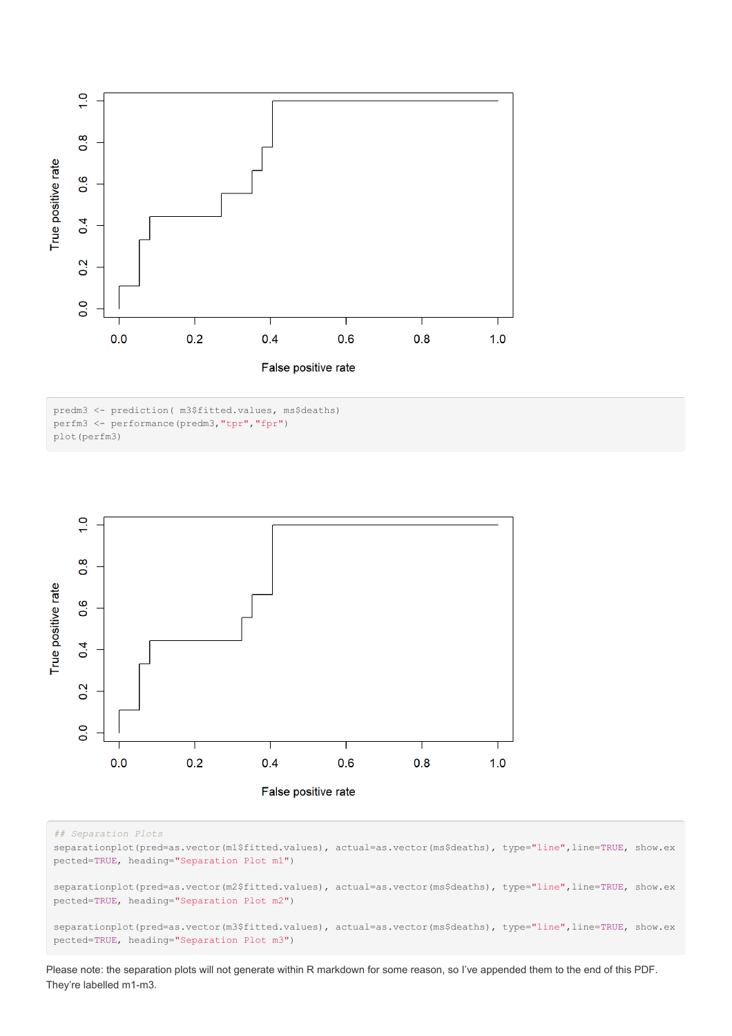

predm3 <- prediction( m3\$fitted.values, ms\$deaths) perfm3 <- performance(predm3,"tpr","fpr") plot(perfm3)



#### *## Separation Plots*

separationplot(pred=as.vector(m1\$fitted.values), actual=as.vector(ms\$deaths), type="line",line=TRUE, show.ex pected=TRUE, heading="Separation Plot m1")

separationplot(pred=as.vector(m2\$fitted.values), actual=as.vector(ms\$deaths), type="line",line=TRUE, show.ex pected=TRUE, heading="Separation Plot m2")

separationplot(pred=as.vector(m3\$fitted.values), actual=as.vector(ms\$deaths), type="line",line=TRUE, show.ex pected=TRUE, heading="Separation Plot m3")

Please note: the separation plots will not generate within R markdown for some reason, so I've appended them to the end of this PDF. They're labelled m1-m3.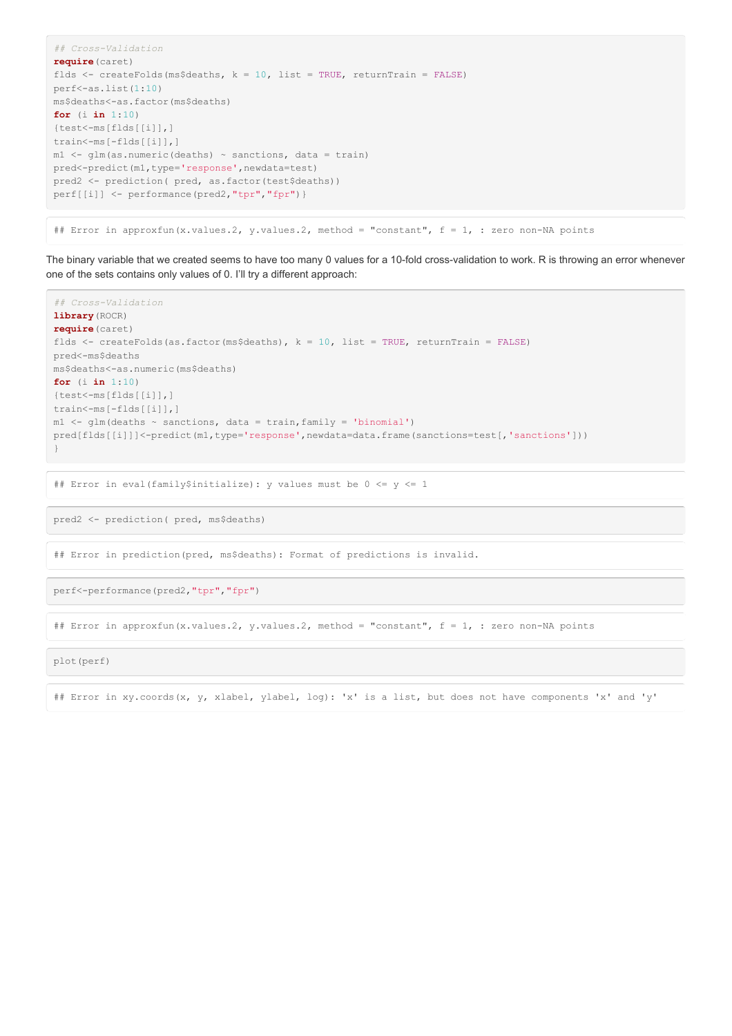```
## Cross-Validation
require(caret)
flds <- createFolds(ms$deaths, k = 10, list = TRUE, returnTrain = FALSE)
perf<-as.list(1:10)
ms$deaths<-as.factor(ms$deaths)
for (i in 1:10)
{test<-ms[flds[[i]],]
train<-ms[-flds[[i]],]
m1 <- glm(as.numeric(deaths) \sim sanctions, data = train)
pred<-predict(m1,type='response',newdata=test)
pred2 <- prediction( pred, as.factor(test$deaths))
perf[[i]] <- performance(pred2,"tpr","fpr")}
```
## Error in approxfun(x.values.2, y.values.2, method = "constant",  $f = 1$ , : zero non-NA points

The binary variable that we created seems to have too many 0 values for a 10-fold cross-validation to work. R is throwing an error whenever one of the sets contains only values of 0. I'll try a different approach:

```
## Cross-Validation
library(ROCR)
require(caret)
flds <- createFolds(as.factor(ms$deaths), k = 10, list = TRUE, returnTrain = FALSE)
pred<-ms$deaths
ms$deaths<-as.numeric(ms$deaths)
for (i in 1:10)
{test<-ms[flds[[i]],]
train<-ms[-flds[[i]],]
m1 <- glm(deaths \sim sanctions, data = train, family = 'binomial')
pred[flds[[i]]]<-predict(m1,type='response',newdata=data.frame(sanctions=test[,'sanctions']))
}
```
## Error in eval(family\$initialize): y values must be  $0 \le y \le 1$ 

pred2 <- prediction( pred, ms\$deaths)

## Error in prediction(pred, ms\$deaths): Format of predictions is invalid.

perf<-performance(pred2,"tpr","fpr")

## Error in approxfun(x.values.2, y.values.2, method = "constant",  $f = 1$ , : zero non-NA points

plot(perf)

## Error in xy.coords(x, y, xlabel, ylabel, log): 'x' is a list, but does not have components 'x' and 'y'